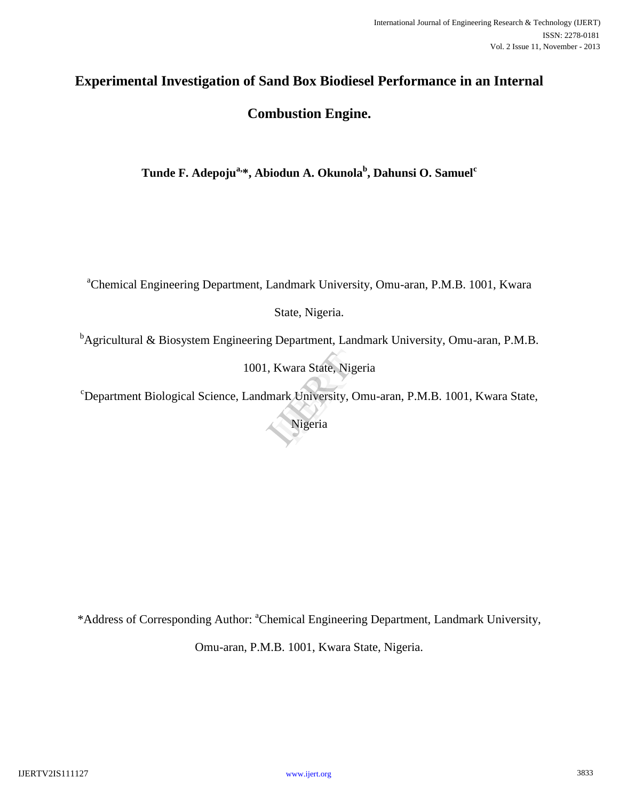# **Experimental Investigation of Sand Box Biodiesel Performance in an Internal**

# **Combustion Engine.**

**Tunde F. Adepojua,\*, Abiodun A. Okunola<sup>b</sup> , Dahunsi O. Samuel<sup>c</sup>**

<sup>a</sup>Chemical Engineering Department, Landmark University, Omu-aran, P.M.B. 1001, Kwara

State, Nigeria.

 $<sup>b</sup>$ Agricultural & Biosystem Engineering Department, Landmark University, Omu-aran, P.M.B.</sup>

1001, Kwara State, Nigeria Kwara State, Nigeria<br>ark University, Om<br>Nigeria

<sup>c</sup>Department Biological Science, Landmark University, Omu-aran, P.M.B. 1001, Kwara State,

Nigeria

\*Address of Corresponding Author: <sup>a</sup>Chemical Engineering Department, Landmark University,

Omu-aran, P.M.B. 1001, Kwara State, Nigeria.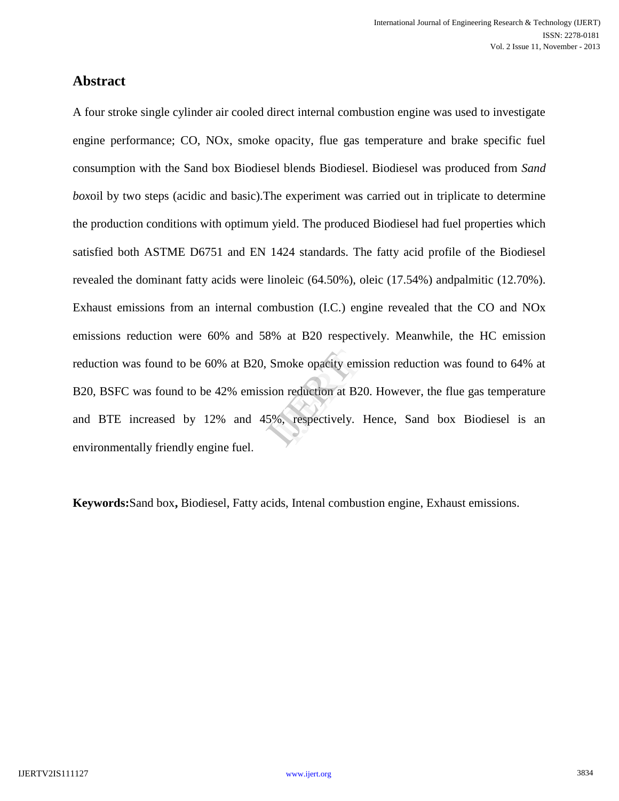# **Abstract**

A four stroke single cylinder air cooled direct internal combustion engine was used to investigate engine performance; CO, NOx, smoke opacity, flue gas temperature and brake specific fuel consumption with the Sand box Biodiesel blends Biodiesel. Biodiesel was produced from *Sand box*oil by two steps (acidic and basic).The experiment was carried out in triplicate to determine the production conditions with optimum yield. The produced Biodiesel had fuel properties which satisfied both ASTME D6751 and EN 1424 standards. The fatty acid profile of the Biodiesel revealed the dominant fatty acids were linoleic (64.50%), oleic (17.54%) andpalmitic (12.70%). Exhaust emissions from an internal combustion (I.C.) engine revealed that the CO and NOx emissions reduction were 60% and 58% at B20 respectively. Meanwhile, the HC emission reduction was found to be 60% at B20, Smoke opacity emission reduction was found to 64% at B20, BSFC was found to be 42% emission reduction at B20. However, the flue gas temperature and BTE increased by 12% and 45%, respectively. Hence, Sand box Biodiesel is an environmentally friendly engine fuel. moke opacity emiss<br>on reduction at B20.<br>%, respectively. H

**Keywords:**Sand box**,** Biodiesel, Fatty acids, Intenal combustion engine, Exhaust emissions.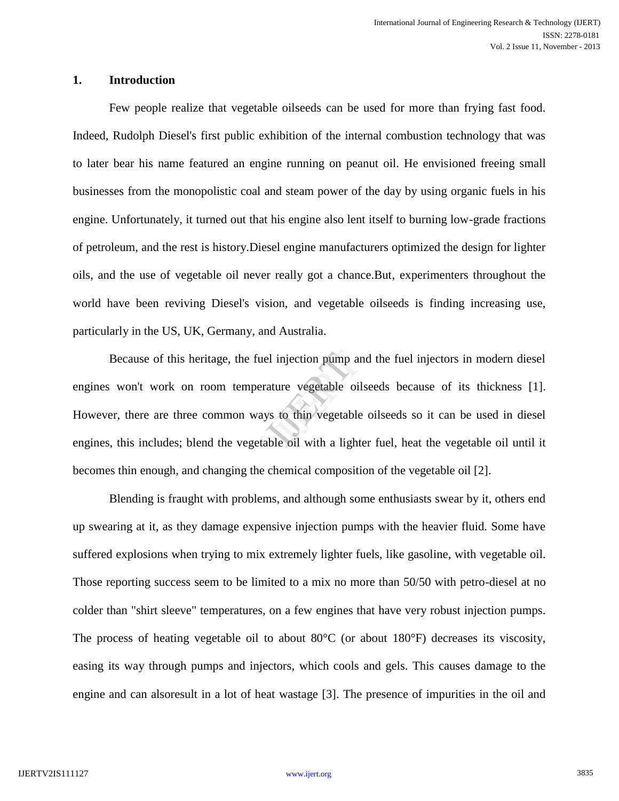### **1. Introduction**

Few people realize that vegetable oilseeds can be used for more than frying fast food. Indeed, Rudolph Diesel's first public exhibition of the internal combustion technology that was to later bear his name featured an engine running on peanut oil. He envisioned freeing small businesses from the monopolistic coal and steam power of the day by using organic fuels in his engine. Unfortunately, it turned out that his engine also lent itself to burning low-grade fractions of petroleum, and the rest is history.Diesel engine manufacturers optimized the design for lighter oils, and the use of vegetable oil never really got a chance.But, experimenters throughout the world have been reviving Diesel's vision, and vegetable oilseeds is finding increasing use, particularly in the US, UK, Germany, and Australia.

Because of this heritage, the fuel injection pump and the fuel injectors in modern diesel<br>won't work on room temperature vegetable oilseeds because of its thickness [1].<br>er, there are three common ways to thin vegetable oi engines won't work on room temperature vegetable oilseeds because of its thickness [1]. However, there are three common ways to thin vegetable oilseeds so it can be used in diesel engines, this includes; blend the vegetable oil with a lighter fuel, heat the vegetable oil until it becomes thin enough, and changing the chemical composition of the vegetable oil [2].

Blending is fraught with problems, and although some enthusiasts swear by it, others end up swearing at it, as they damage expensive injection pumps with the heavier fluid. Some have suffered explosions when trying to mix extremely lighter fuels, like gasoline, with vegetable oil. Those reporting success seem to be limited to a mix no more than 50/50 with petro-diesel at no colder than "shirt sleeve" temperatures, on a few engines that have very robust injection pumps. The process of heating vegetable oil to about  $80^{\circ}$ C (or about 180 $^{\circ}$ F) decreases its viscosity, easing its way through pumps and injectors, which cools and gels. This causes damage to the engine and can alsoresult in a lot of heat wastage [3]. The presence of impurities in the oil and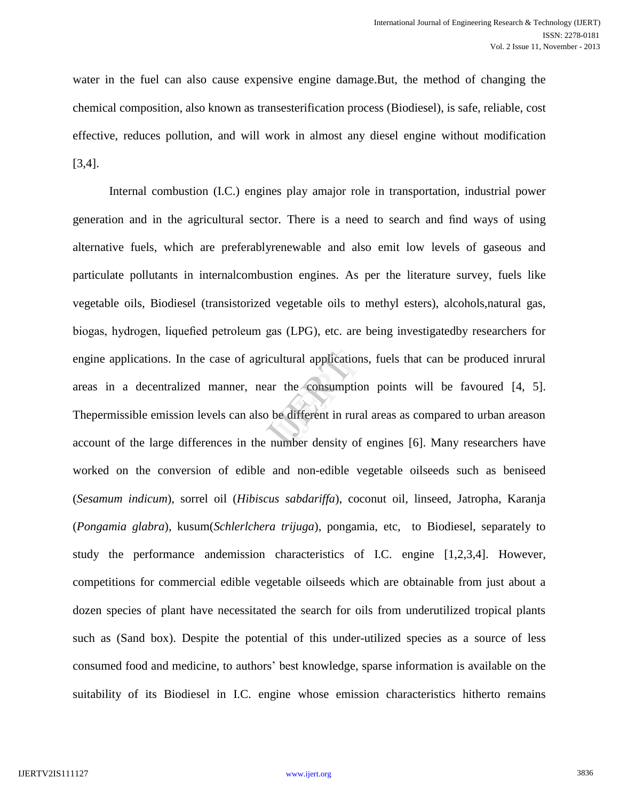water in the fuel can also cause expensive engine damage.But, the method of changing the chemical composition, also known as transesterification process (Biodiesel), is safe, reliable, cost effective, reduces pollution, and will work in almost any diesel engine without modification [3,4].

Internal combustion (I.C.) engines play amajor role in transportation, industrial power generation and in the agricultural sector. There is a need to search and find ways of using alternative fuels, which are preferablyrenewable and also emit low levels of gaseous and particulate pollutants in internalcombustion engines. As per the literature survey, fuels like vegetable oils, Biodiesel (transistorized vegetable oils to methyl esters), alcohols,natural gas, biogas, hydrogen, liquefied petroleum gas (LPG), etc. are being investigatedby researchers for engine applications. In the case of agricultural applications, fuels that can be produced inrural<br>areas in a decentralized manner, near the consumption points will be favoured [4, 5].<br>The permissible emission levels can al areas in a decentralized manner, near the consumption points will be favoured [4, 5]. Thepermissible emission levels can also be different in rural areas as compared to urban areason account of the large differences in the number density of engines [6]. Many researchers have worked on the conversion of edible and non-edible vegetable oilseeds such as beniseed (*Sesamum indicum*), sorrel oil (*Hibiscus sabdariffa*), coconut oil, linseed, Jatropha, Karanja (*Pongamia glabra*), kusum(*Schlerlchera trijuga*), pongamia, etc, to Biodiesel, separately to study the performance andemission characteristics of I.C. engine [1,2,3,4]. However, competitions for commercial edible vegetable oilseeds which are obtainable from just about a dozen species of plant have necessitated the search for oils from underutilized tropical plants such as (Sand box). Despite the potential of this under-utilized species as a source of less consumed food and medicine, to authors" best knowledge, sparse information is available on the suitability of its Biodiesel in I.C. engine whose emission characteristics hitherto remains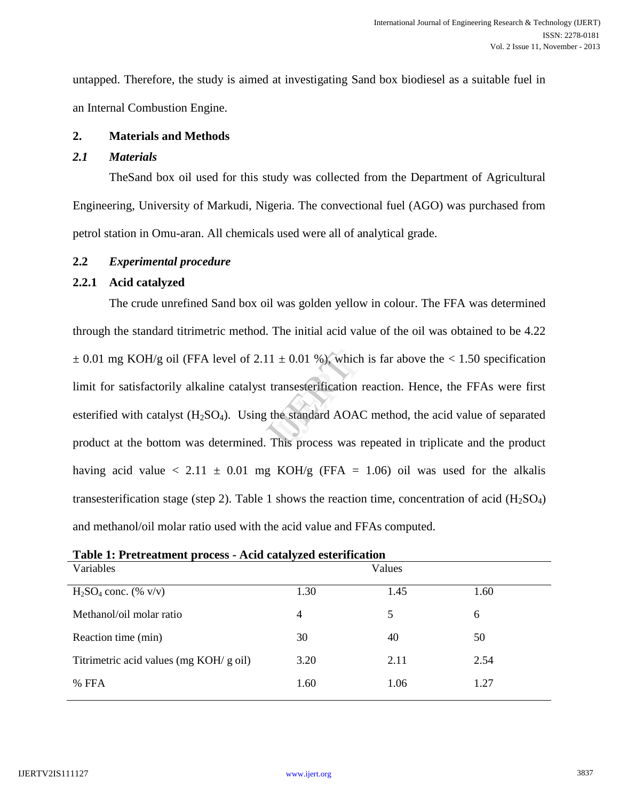untapped. Therefore, the study is aimed at investigating Sand box biodiesel as a suitable fuel in an Internal Combustion Engine.

### **2. Materials and Methods**

### *2.1 Materials*

TheSand box oil used for this study was collected from the Department of Agricultural Engineering, University of Markudi, Nigeria. The convectional fuel (AGO) was purchased from petrol station in Omu-aran. All chemicals used were all of analytical grade.

### **2.2** *Experimental procedure*

### **2.2.1 Acid catalyzed**

The crude unrefined Sand box oil was golden yellow in colour. The FFA was determined through the standard titrimetric method. The initial acid value of the oil was obtained to be 4.22  $\pm$  0.01 mg KOH/g oil (FFA level of 2.11  $\pm$  0.01 %), which is far above the < 1.50 specification limit for satisfactorily alkaline catalyst transesterification reaction. Hence, the FFAs were first esterified with catalyst  $(H_2SO_4)$ . Using the standard AOAC method, the acid value of separated product at the bottom was determined. This process was repeated in triplicate and the product having acid value  $\langle 2.11 \pm 0.01 \rangle$  mg KOH/g (FFA = 1.06) oil was used for the alkalis transesterification stage (step 2). Table 1 shows the reaction time, concentration of acid  $(H_2SO_4)$ and methanol/oil molar ratio used with the acid value and FFAs computed.  $\pm$  0.01 %), which is<br>ransesterification re<br>he standard AOAC

| Table 1: Pretreatment process - Acid catalyzed esterification |      |        |      |
|---------------------------------------------------------------|------|--------|------|
| Variables                                                     |      | Values |      |
| $H_2SO_4$ conc. (% v/v)                                       | 1.30 | 1.45   | 1.60 |
| Methanol/oil molar ratio                                      | 4    | 5.     | 6    |
| Reaction time (min)                                           | 30   | 40     | 50   |
| Titrimetric acid values (mg KOH/ g oil)                       | 3.20 | 2.11   | 2.54 |
| % FFA                                                         | 1.60 | 1.06   | 1.27 |
|                                                               |      |        |      |

**Table 1: Pretreatment process - Acid catalyzed esterification**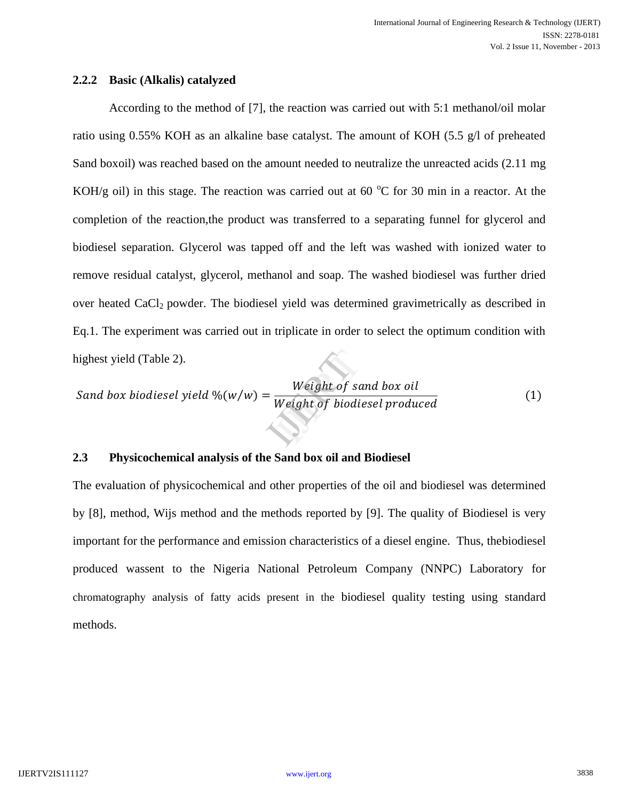### **2.2.2 Basic (Alkalis) catalyzed**

According to the method of [7], the reaction was carried out with 5:1 methanol/oil molar ratio using 0.55% KOH as an alkaline base catalyst. The amount of KOH (5.5 g/l of preheated Sand boxoil) was reached based on the amount needed to neutralize the unreacted acids (2.11 mg KOH/g oil) in this stage. The reaction was carried out at 60  $^{\circ}$ C for 30 min in a reactor. At the completion of the reaction,the product was transferred to a separating funnel for glycerol and biodiesel separation. Glycerol was tapped off and the left was washed with ionized water to remove residual catalyst, glycerol, methanol and soap. The washed biodiesel was further dried over heated  $CaCl<sub>2</sub>$  powder. The biodiesel yield was determined gravimetrically as described in Eq.1. The experiment was carried out in triplicate in order to select the optimum condition with highest yield (Table 2).

highest yield (Table 2).

\nSand box biological yield 
$$
\%(w/w) = \frac{Weight \ of \ sand \ box \ oil}{Weight \ of \ biological \ produced}
$$

\n(1)

### **2.3 Physicochemical analysis of the Sand box oil and Biodiesel**

The evaluation of physicochemical and other properties of the oil and biodiesel was determined by [8], method, Wijs method and the methods reported by [9]. The quality of Biodiesel is very important for the performance and emission characteristics of a diesel engine. Thus, thebiodiesel produced wassent to the Nigeria National Petroleum Company (NNPC) Laboratory for chromatography analysis of fatty acids present in the biodiesel quality testing using standard methods.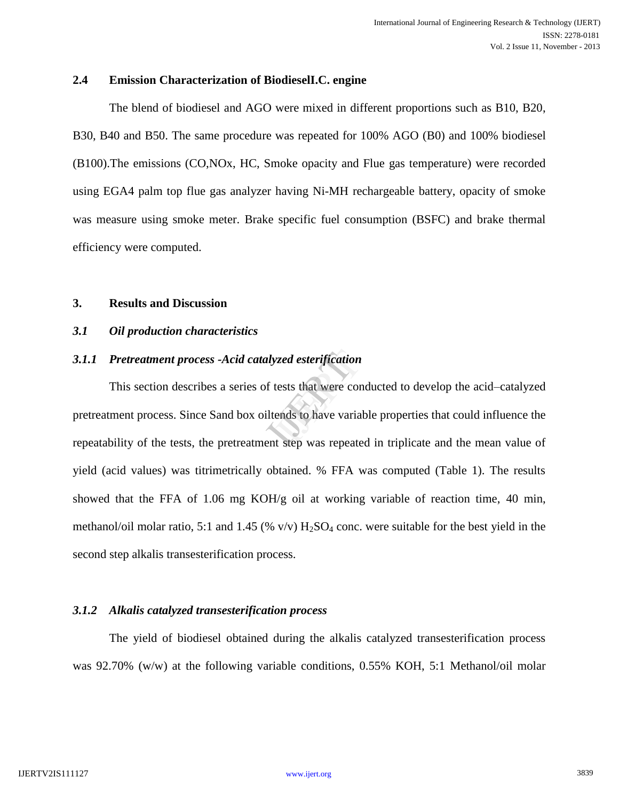### **2.4 Emission Characterization of BiodieselI.C. engine**

The blend of biodiesel and AGO were mixed in different proportions such as B10, B20, B30, B40 and B50. The same procedure was repeated for 100% AGO (B0) and 100% biodiesel (B100).The emissions (CO,NOx, HC, Smoke opacity and Flue gas temperature) were recorded using EGA4 palm top flue gas analyzer having Ni-MH rechargeable battery, opacity of smoke was measure using smoke meter. Brake specific fuel consumption (BSFC) and brake thermal efficiency were computed.

#### **3. Results and Discussion**

### *3.1 Oil production characteristics*

### *3.1.1 Pretreatment process -Acid catalyzed esterification*

This section describes a series of tests that were conducted to develop the acid–catalyzed pretreatment process. Since Sand box oiltends to have variable properties that could influence the repeatability of the tests, the pretreatment step was repeated in triplicate and the mean value of yield (acid values) was titrimetrically obtained. % FFA was computed (Table 1). The results showed that the FFA of 1.06 mg KOH/g oil at working variable of reaction time, 40 min, methanol/oil molar ratio, 5:1 and 1.45 (%  $v/v$ ) H<sub>2</sub>SO<sub>4</sub> conc. were suitable for the best yield in the second step alkalis transesterification process. Expedient<br>
Internation<br>
International Stock Contract Step Was repeated<br>
International Step Was repeated

### *3.1.2 Alkalis catalyzed transesterification process*

The yield of biodiesel obtained during the alkalis catalyzed transesterification process was 92.70% (w/w) at the following variable conditions, 0.55% KOH, 5:1 Methanol/oil molar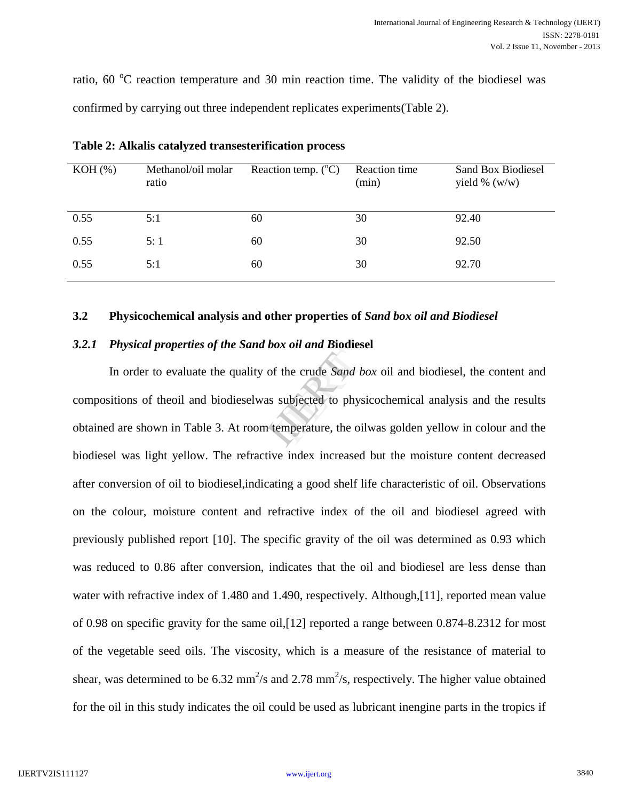ratio,  $60^{\circ}$ C reaction temperature and 30 min reaction time. The validity of the biodiesel was confirmed by carrying out three independent replicates experiments(Table 2).

| $KOH$ $(\% )$ | Methanol/oil molar<br>ratio | Reaction temp. $(^{\circ}C)$ | Reaction time<br>(min) | Sand Box Biodiesel<br>yield % $(w/w)$ |
|---------------|-----------------------------|------------------------------|------------------------|---------------------------------------|
| 0.55          | 5:1                         | 60                           | 30                     | 92.40                                 |
| 0.55          | 5:1                         | 60                           | 30                     | 92.50                                 |
| 0.55          | 5:1                         | 60                           | 30                     | 92.70                                 |

**Table 2: Alkalis catalyzed transesterification process**

### **3.2 Physicochemical analysis and other properties of** *Sand box oil and Biodiesel*

### *3.2.1 Physical properties of the Sand box oil and B***iodiesel**

In order to evaluate the quality of the crude *Sand box* oil and biodiesel, the content and compositions of theoil and biodieselwas subjected to physicochemical analysis and the results obtained are shown in Table 3. At room temperature, the oilwas golden yellow in colour and the biodiesel was light yellow. The refractive index increased but the moisture content decreased after conversion of oil to biodiesel,indicating a good shelf life characteristic of oil. Observations on the colour, moisture content and refractive index of the oil and biodiesel agreed with previously published report [10]. The specific gravity of the oil was determined as 0.93 which was reduced to 0.86 after conversion, indicates that the oil and biodiesel are less dense than water with refractive index of 1.480 and 1.490, respectively. Although,[11], reported mean value of 0.98 on specific gravity for the same oil,[12] reported a range between 0.874-8.2312 for most of the vegetable seed oils. The viscosity, which is a measure of the resistance of material to shear, was determined to be 6.32 mm<sup>2</sup>/s and 2.78 mm<sup>2</sup>/s, respectively. The higher value obtained for the oil in this study indicates the oil could be used as lubricant inengine parts in the tropics if If the crude Sand bot<br>subjected to physic<br>emperature, the oily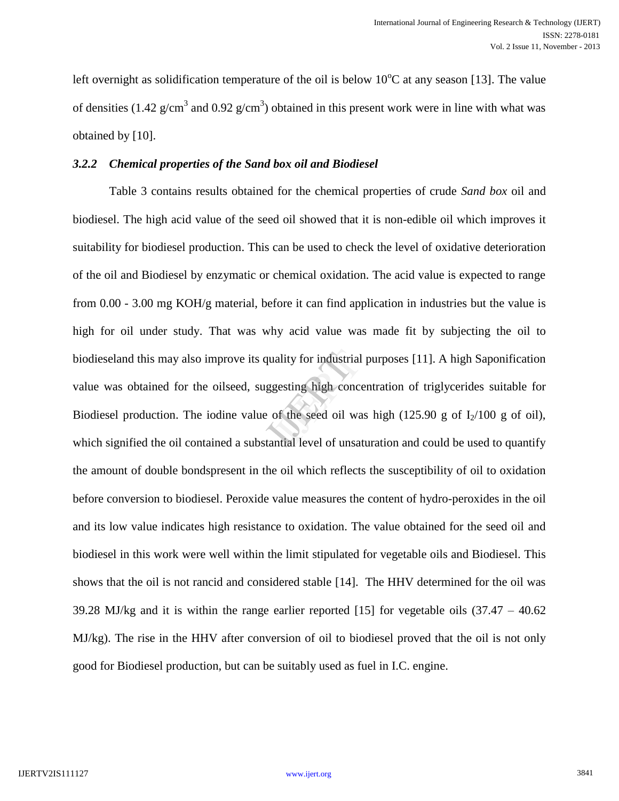left overnight as solidification temperature of the oil is below  $10^{\circ}$ C at any season [13]. The value of densities (1.42  $g/cm<sup>3</sup>$  and 0.92  $g/cm<sup>3</sup>$ ) obtained in this present work were in line with what was obtained by [10].

### *3.2.2 Chemical properties of the Sand box oil and Biodiesel*

Table 3 contains results obtained for the chemical properties of crude *Sand box* oil and biodiesel. The high acid value of the seed oil showed that it is non-edible oil which improves it suitability for biodiesel production. This can be used to check the level of oxidative deterioration of the oil and Biodiesel by enzymatic or chemical oxidation. The acid value is expected to range from 0.00 - 3.00 mg KOH/g material, before it can find application in industries but the value is high for oil under study. That was why acid value was made fit by subjecting the oil to biodieseland this may also improve its quality for industrial purposes [11]. A high Saponification value was obtained for the oilseed, suggesting high concentration of triglycerides suitable for Biodiesel production. The i value was obtained for the oilseed, suggesting high concentration of triglycerides suitable for Biodiesel production. The iodine value of the seed oil was high (125.90 g of  $I_2/100$  g of oil), which signified the oil contained a substantial level of unsaturation and could be used to quantify the amount of double bondspresent in the oil which reflects the susceptibility of oil to oxidation before conversion to biodiesel. Peroxide value measures the content of hydro-peroxides in the oil and its low value indicates high resistance to oxidation. The value obtained for the seed oil and biodiesel in this work were well within the limit stipulated for vegetable oils and Biodiesel. This shows that the oil is not rancid and considered stable [14]. The HHV determined for the oil was 39.28 MJ/kg and it is within the range earlier reported [15] for vegetable oils (37.47 – 40.62 MJ/kg). The rise in the HHV after conversion of oil to biodiesel proved that the oil is not only good for Biodiesel production, but can be suitably used as fuel in I.C. engine.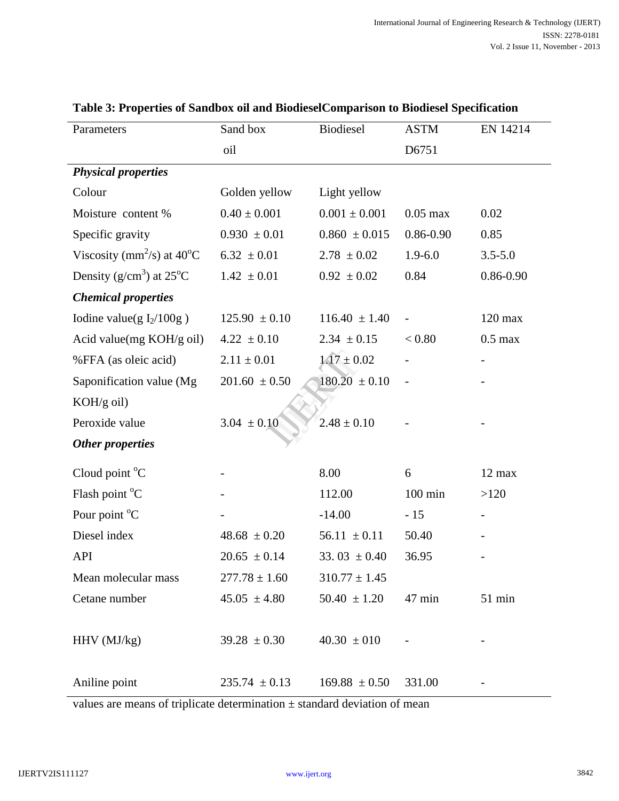| Parameters                                       | Sand box          | Biodiesel         | <b>ASTM</b>       | EN 14214      |
|--------------------------------------------------|-------------------|-------------------|-------------------|---------------|
|                                                  | oil               |                   | D6751             |               |
| <b>Physical properties</b>                       |                   |                   |                   |               |
| Colour                                           | Golden yellow     | Light yellow      |                   |               |
| Moisture content %                               | $0.40 \pm 0.001$  | $0.001 \pm 0.001$ | $0.05$ max        | 0.02          |
| Specific gravity                                 | $0.930 \pm 0.01$  | $0.860 \pm 0.015$ | $0.86 - 0.90$     | 0.85          |
| Viscosity (mm <sup>2</sup> /s) at $40^{\circ}$ C | $6.32 \pm 0.01$   | $2.78 \pm 0.02$   | $1.9 - 6.0$       | $3.5 - 5.0$   |
| Density ( $g/cm3$ ) at 25 <sup>o</sup> C         | $1.42 \pm 0.01$   | $0.92 \pm 0.02$   | 0.84              | $0.86 - 0.90$ |
| <b>Chemical properties</b>                       |                   |                   |                   |               |
| Iodine value(g $I_2/100g$ )                      | $125.90 \pm 0.10$ | $116.40 \pm 1.40$ |                   | $120$ max     |
| Acid value(mg KOH/g oil)                         | $4.22 \pm 0.10$   | $2.34 \pm 0.15$   | < 0.80            | $0.5$ max     |
| %FFA (as oleic acid)                             | $2.11 \pm 0.01$   | $1.17 \pm 0.02$   |                   |               |
| Saponification value (Mg                         | $201.60 \pm 0.50$ | $180.20 \pm 0.10$ |                   |               |
| $KOH/g$ oil)                                     |                   |                   |                   |               |
| Peroxide value                                   | $3.04 \pm 0.10$   | $2.48 \pm 0.10$   |                   |               |
| <b>Other properties</b>                          |                   |                   |                   |               |
| Cloud point $^{\circ}C$                          |                   | 8.00              | 6                 | 12 max        |
| Flash point °C                                   |                   | 112.00            | $100 \text{ min}$ | >120          |
| Pour point <sup>o</sup> C                        |                   | $-14.00$          | $-15$             |               |
| Diesel index                                     | $48.68 \pm 0.20$  | $56.11 \pm 0.11$  | 50.40             |               |
| <b>API</b>                                       | $20.65 \pm 0.14$  | 33.03 $\pm$ 0.40  | 36.95             |               |
| Mean molecular mass                              | $277.78 \pm 1.60$ | $310.77 \pm 1.45$ |                   |               |
| Cetane number                                    | $45.05 \pm 4.80$  | $50.40 \pm 1.20$  | 47 min            | 51 min        |
|                                                  |                   |                   |                   |               |
| $HHV$ (MJ/kg)                                    | $39.28 \pm 0.30$  | $40.30 \pm 010$   |                   |               |
|                                                  |                   |                   |                   |               |
| Aniline point                                    | $235.74 \pm 0.13$ | $169.88 \pm 0.50$ | 331.00            |               |

# **Table 3: Properties of Sandbox oil and BiodieselComparison to Biodiesel Specification**

values are means of triplicate determination  $\pm$  standard deviation of mean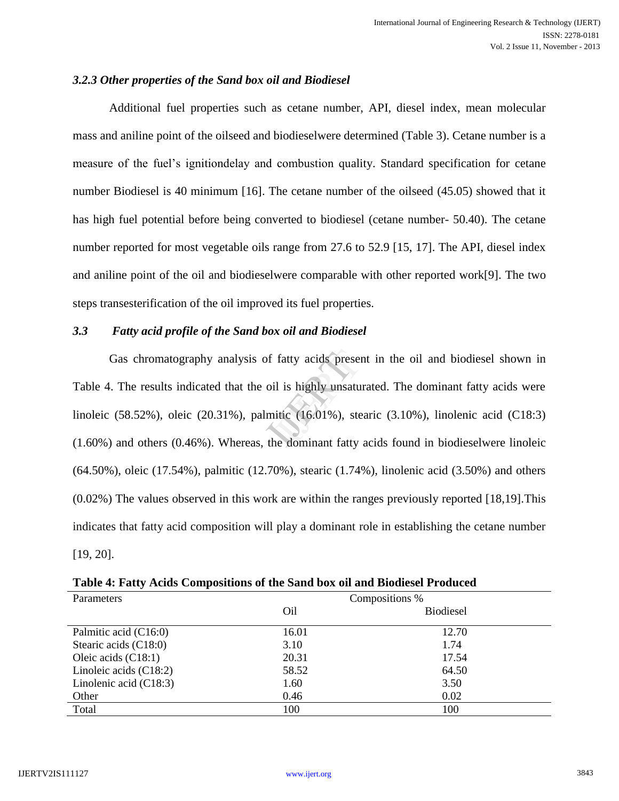### *3.2.3 Other properties of the Sand box oil and Biodiesel*

Additional fuel properties such as cetane number, API, diesel index, mean molecular mass and aniline point of the oilseed and biodieselwere determined (Table 3). Cetane number is a measure of the fuel"s ignitiondelay and combustion quality. Standard specification for cetane number Biodiesel is 40 minimum [16]. The cetane number of the oilseed (45.05) showed that it has high fuel potential before being converted to biodiesel (cetane number- 50.40). The cetane number reported for most vegetable oils range from 27.6 to 52.9 [15, 17]. The API, diesel index and aniline point of the oil and biodieselwere comparable with other reported work[9]. The two steps transesterification of the oil improved its fuel properties.

### *3.3 Fatty acid profile of the Sand box oil and Biodiesel*

Gas chromatography analysis of fatty acids present in the oil and biodiesel shown in<br>
. The results indicated that the oil is highly unsaturated. The dominant fatty acids were<br>  $(58.52\%)$ , oleic  $(20.31\%)$ , palmitic  $(16.$ Table 4. The results indicated that the oil is highly unsaturated. The dominant fatty acids were linoleic (58.52%), oleic (20.31%), palmitic (16.01%), stearic (3.10%), linolenic acid (C18:3) (1.60%) and others (0.46%). Whereas, the dominant fatty acids found in biodieselwere linoleic (64.50%), oleic (17.54%), palmitic (12.70%), stearic (1.74%), linolenic acid (3.50%) and others (0.02%) The values observed in this work are within the ranges previously reported [18,19].This indicates that fatty acid composition will play a dominant role in establishing the cetane number [19, 20].

| $\cdot$<br>Parameters    | Compositions %  |                  |  |
|--------------------------|-----------------|------------------|--|
|                          | O <sub>il</sub> | <b>Biodiesel</b> |  |
| Palmitic acid (C16:0)    | 16.01           | 12.70            |  |
| Stearic acids (C18:0)    | 3.10            | 1.74             |  |
| Oleic acids $(C18:1)$    | 20.31           | 17.54            |  |
| Linoleic acids $(C18:2)$ | 58.52           | 64.50            |  |
| Linolenic acid $(C18:3)$ | 1.60            | 3.50             |  |
| Other                    | 0.46            | 0.02             |  |
| Total                    | 100             | 100              |  |

**Table 4: Fatty Acids Compositions of the Sand box oil and Biodiesel Produced**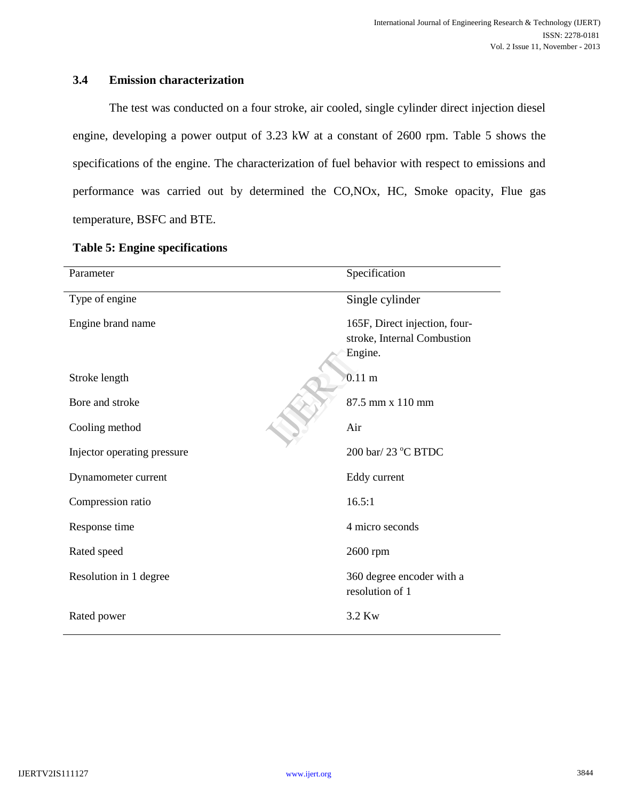## **3.4 Emission characterization**

The test was conducted on a four stroke, air cooled, single cylinder direct injection diesel engine, developing a power output of 3.23 kW at a constant of 2600 rpm. Table 5 shows the specifications of the engine. The characterization of fuel behavior with respect to emissions and performance was carried out by determined the CO,NOx, HC, Smoke opacity, Flue gas temperature, BSFC and BTE.

| Parameter                   | Specification                                                           |
|-----------------------------|-------------------------------------------------------------------------|
| Type of engine              | Single cylinder                                                         |
| Engine brand name           | 165F, Direct injection, four-<br>stroke, Internal Combustion<br>Engine. |
| Stroke length               | $0.11 \text{ m}$                                                        |
| Bore and stroke             | 87.5 mm x 110 mm                                                        |
| Cooling method              | Air                                                                     |
| Injector operating pressure | 200 bar/ 23 °C BTDC                                                     |
| Dynamometer current         | Eddy current                                                            |
| Compression ratio           | 16.5:1                                                                  |
| Response time               | 4 micro seconds                                                         |
| Rated speed                 | 2600 rpm                                                                |
| Resolution in 1 degree      | 360 degree encoder with a<br>resolution of 1                            |
| Rated power                 | 3.2 Kw                                                                  |

### **Table 5: Engine specifications**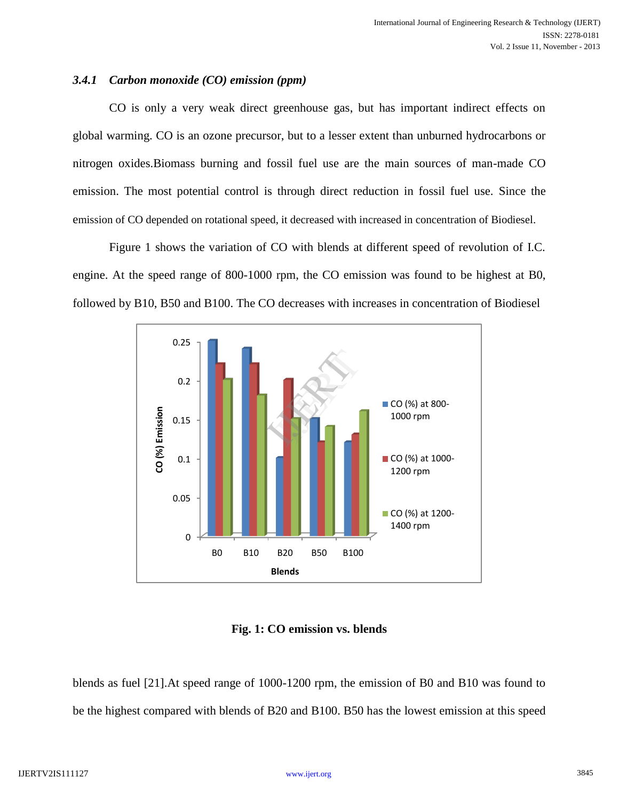### *3.4.1 Carbon monoxide (CO) emission (ppm)*

CO is only a very weak direct greenhouse gas, but has important indirect effects on global warming. CO is an ozone precursor, but to a lesser extent than unburned hydrocarbons or nitrogen oxides.Biomass burning and fossil fuel use are the main sources of man-made CO emission. The most potential control is through direct reduction in fossil fuel use. Since the emission of CO depended on rotational speed, it decreased with increased in concentration of Biodiesel.

Figure 1 shows the variation of CO with blends at different speed of revolution of I.C. engine. At the speed range of 800-1000 rpm, the CO emission was found to be highest at B0, followed by B10, B50 and B100. The CO decreases with increases in concentration of Biodiesel



**Fig. 1: CO emission vs. blends**

blends as fuel [21].At speed range of 1000-1200 rpm, the emission of B0 and B10 was found to be the highest compared with blends of B20 and B100. B50 has the lowest emission at this speed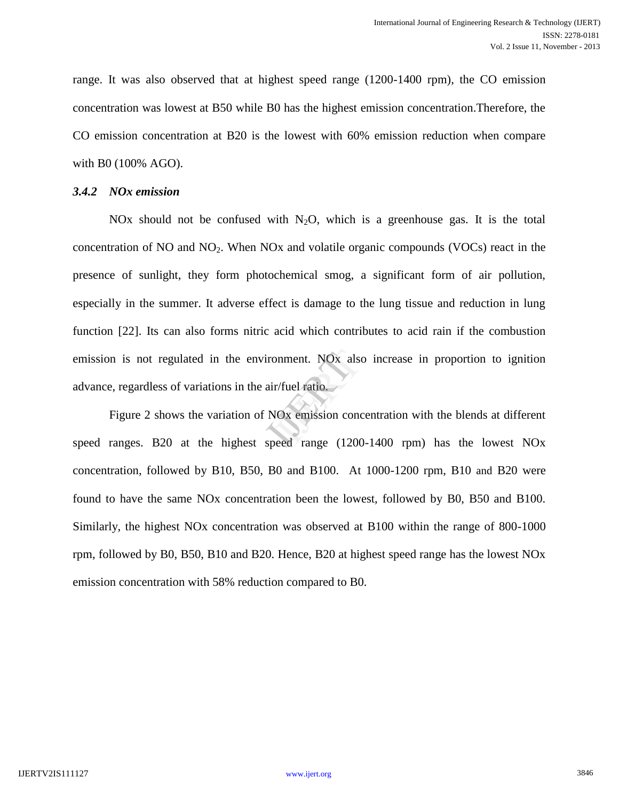range. It was also observed that at highest speed range (1200-1400 rpm), the CO emission concentration was lowest at B50 while B0 has the highest emission concentration.Therefore, the CO emission concentration at B20 is the lowest with 60% emission reduction when compare with B0 (100% AGO).

### *3.4.2 NOx emission*

NOx should not be confused with  $N_2O$ , which is a greenhouse gas. It is the total concentration of NO and  $NO<sub>2</sub>$ . When NOx and volatile organic compounds (VOCs) react in the presence of sunlight, they form photochemical smog, a significant form of air pollution, especially in the summer. It adverse effect is damage to the lung tissue and reduction in lung function [22]. Its can also forms nitric acid which contributes to acid rain if the combustion emission is not regulated in the environment. NOx also increase in proportion to ignition<br>
advance, regardless of variations in the air/fuel ratio.<br>
Figure 2 shows the variation of NOx emission concentration with the blend advance, regardless of variations in the air/fuel ratio.

Figure 2 shows the variation of NOx emission concentration with the blends at different speed ranges. B20 at the highest speed range (1200-1400 rpm) has the lowest NOx concentration, followed by B10, B50, B0 and B100. At 1000-1200 rpm, B10 and B20 were found to have the same NOx concentration been the lowest, followed by B0, B50 and B100. Similarly, the highest NOx concentration was observed at B100 within the range of 800-1000 rpm, followed by B0, B50, B10 and B20. Hence, B20 at highest speed range has the lowest NOx emission concentration with 58% reduction compared to B0.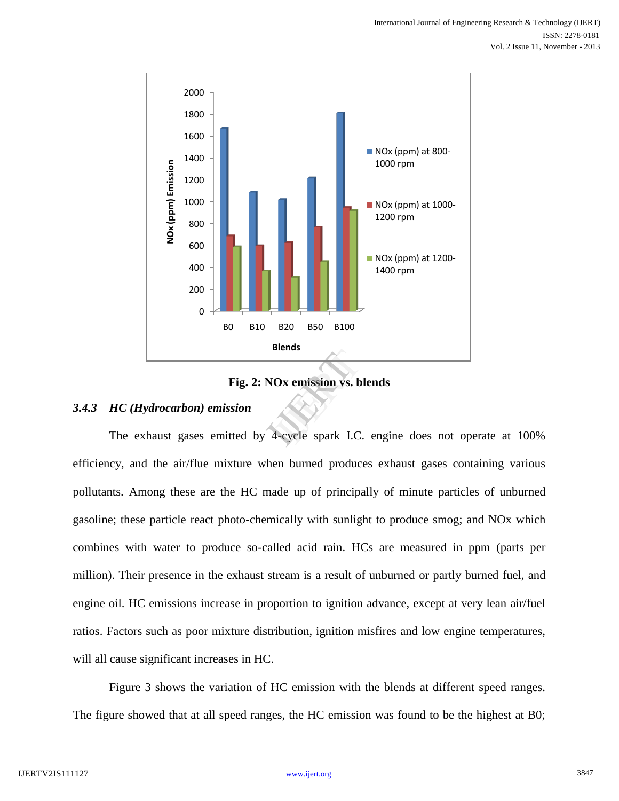

**Fig. 2: NOx emission vs. blends**

### *3.4.3 HC (Hydrocarbon) emission*

The exhaust gases emitted by 4-cycle spark I.C. engine does not operate at 100% efficiency, and the air/flue mixture when burned produces exhaust gases containing various pollutants. Among these are the HC made up of principally of minute particles of unburned gasoline; these particle react photo-chemically with sunlight to produce smog; and NOx which combines with water to produce so-called acid rain. HCs are measured in ppm (parts per million). Their presence in the exhaust stream is a result of unburned or partly burned fuel, and engine oil. HC emissions increase in proportion to ignition advance, except at very lean air/fuel ratios. Factors such as poor mixture distribution, ignition misfires and low engine temperatures, will all cause significant increases in HC.

Figure 3 shows the variation of HC emission with the blends at different speed ranges. The figure showed that at all speed ranges, the HC emission was found to be the highest at B0;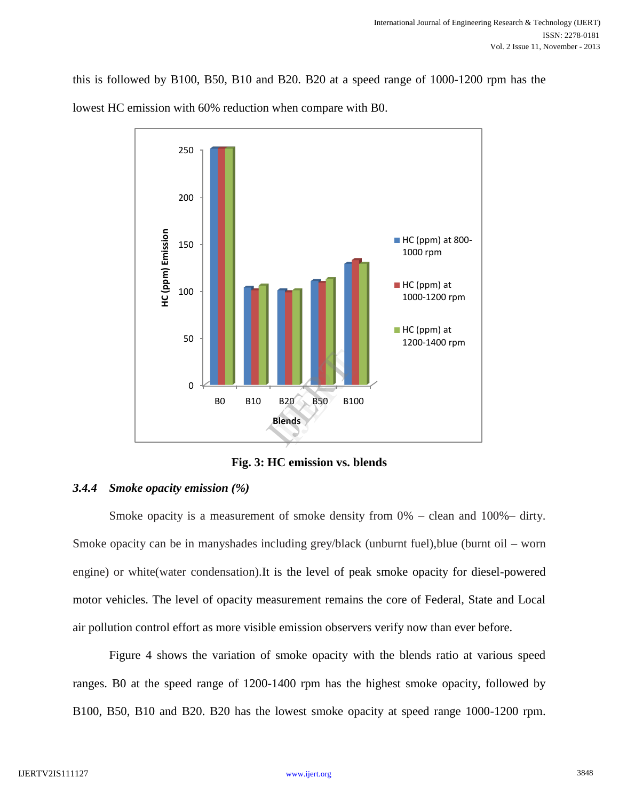this is followed by B100, B50, B10 and B20. B20 at a speed range of 1000-1200 rpm has the lowest HC emission with 60% reduction when compare with B0.



**Fig. 3: HC emission vs. blends**

### *3.4.4 Smoke opacity emission (%)*

Smoke opacity is a measurement of smoke density from 0% – clean and 100%– dirty. Smoke opacity can be in manyshades including grey/black (unburnt fuel),blue (burnt oil – worn engine) or white(water condensation).It is the level of peak smoke opacity for diesel-powered motor vehicles. The level of opacity measurement remains the core of Federal, State and Local air pollution control effort as more visible emission observers verify now than ever before.

Figure 4 shows the variation of smoke opacity with the blends ratio at various speed ranges. B0 at the speed range of 1200-1400 rpm has the highest smoke opacity, followed by B100, B50, B10 and B20. B20 has the lowest smoke opacity at speed range 1000-1200 rpm.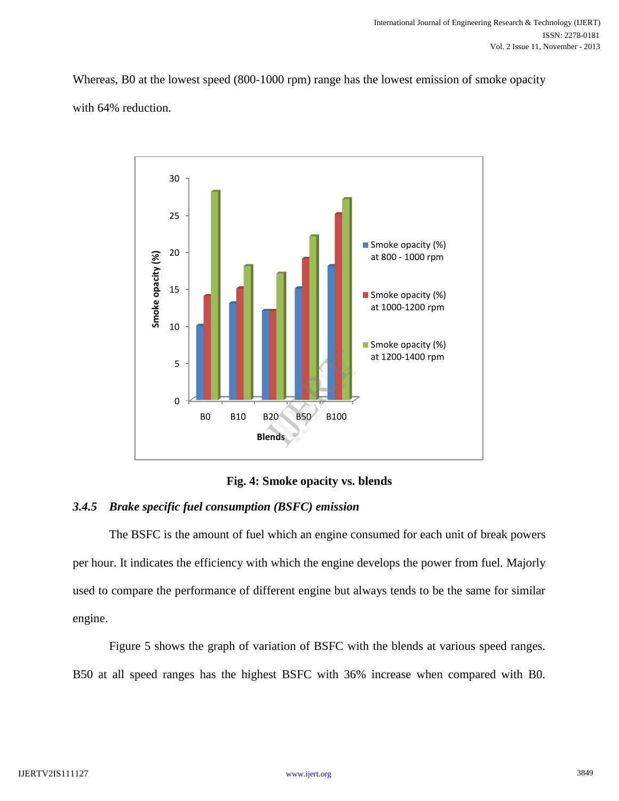Whereas, B0 at the lowest speed (800-1000 rpm) range has the lowest emission of smoke opacity with 64% reduction.



**Fig. 4: Smoke opacity vs. blends**

# *3.4.5 Brake specific fuel consumption (BSFC) emission*

The BSFC is the amount of fuel which an engine consumed for each unit of break powers per hour. It indicates the efficiency with which the engine develops the power from fuel. Majorly used to compare the performance of different engine but always tends to be the same for similar engine.

Figure 5 shows the graph of variation of BSFC with the blends at various speed ranges. B50 at all speed ranges has the highest BSFC with 36% increase when compared with B0.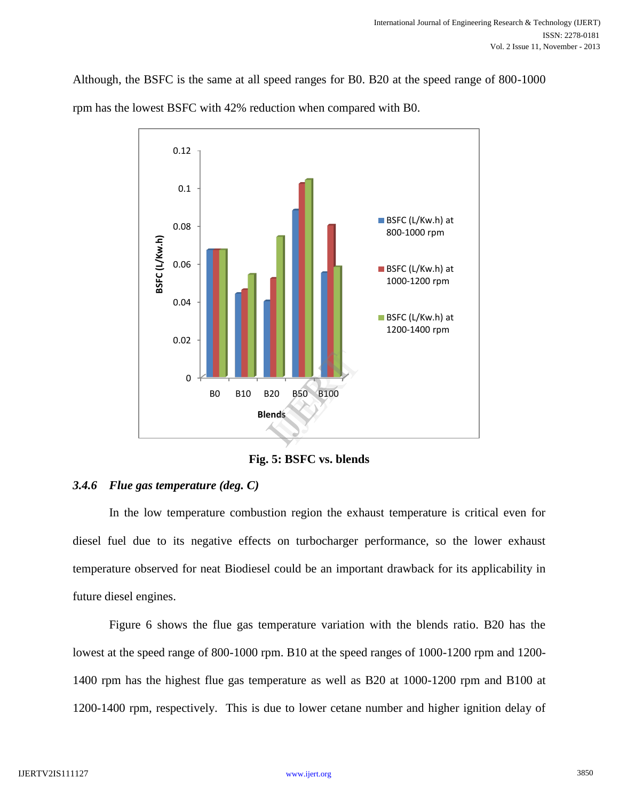Although, the BSFC is the same at all speed ranges for B0. B20 at the speed range of 800-1000 rpm has the lowest BSFC with 42% reduction when compared with B0.



**Fig. 5: BSFC vs. blends**

### *3.4.6 Flue gas temperature (deg. C)*

In the low temperature combustion region the exhaust temperature is critical even for diesel fuel due to its negative effects on turbocharger performance, so the lower exhaust temperature observed for neat Biodiesel could be an important drawback for its applicability in future diesel engines.

Figure 6 shows the flue gas temperature variation with the blends ratio. B20 has the lowest at the speed range of 800-1000 rpm. B10 at the speed ranges of 1000-1200 rpm and 1200- 1400 rpm has the highest flue gas temperature as well as B20 at 1000-1200 rpm and B100 at 1200-1400 rpm, respectively. This is due to lower cetane number and higher ignition delay of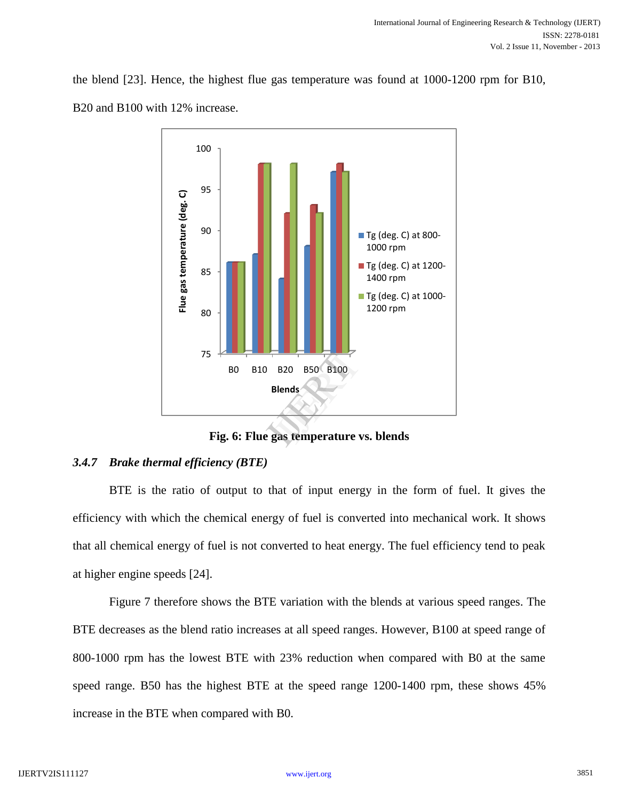the blend [23]. Hence, the highest flue gas temperature was found at 1000-1200 rpm for B10, B20 and B100 with 12% increase.



# *3.4.7 Brake thermal efficiency (BTE)*

BTE is the ratio of output to that of input energy in the form of fuel. It gives the efficiency with which the chemical energy of fuel is converted into mechanical work. It shows that all chemical energy of fuel is not converted to heat energy. The fuel efficiency tend to peak at higher engine speeds [24].

Figure 7 therefore shows the BTE variation with the blends at various speed ranges. The BTE decreases as the blend ratio increases at all speed ranges. However, B100 at speed range of 800-1000 rpm has the lowest BTE with 23% reduction when compared with B0 at the same speed range. B50 has the highest BTE at the speed range 1200-1400 rpm, these shows 45% increase in the BTE when compared with B0.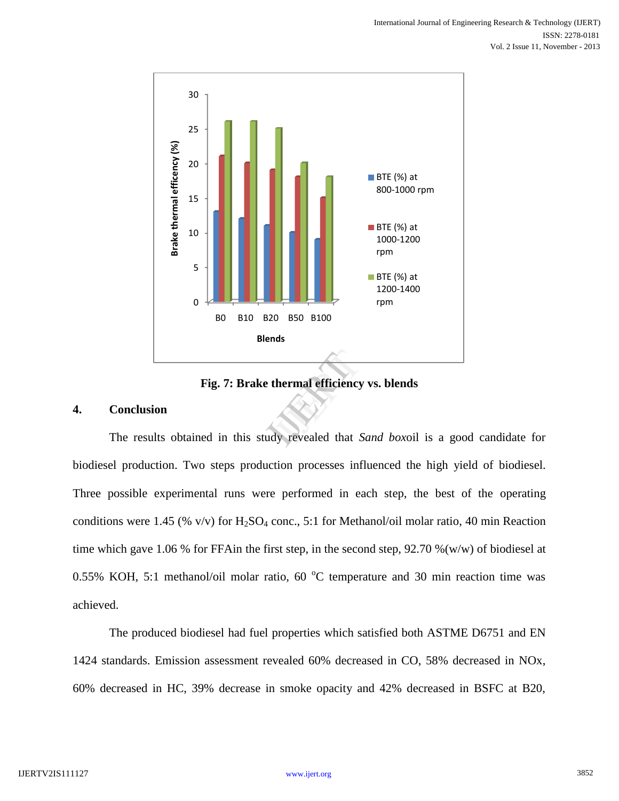

**Fig. 7: Brake thermal efficiency vs. blends**

### **4. Conclusion**

biodiesel production. Two steps production processes influenced the high yield of biodiesel. Three possible experimental runs were performed in each step, the best of the operating conditions were 1.45 (% v/v) for  $H_2SO_4$  conc., 5:1 for Methanol/oil molar ratio, 40 min Reaction time which gave 1.06 % for FFAin the first step, in the second step, 92.70 %(w/w) of biodiesel at 0.55% KOH, 5:1 methanol/oil molar ratio,  $60\degree$ C temperature and 30 min reaction time was achieved.

The produced biodiesel had fuel properties which satisfied both ASTME D6751 and EN 1424 standards. Emission assessment revealed 60% decreased in CO, 58% decreased in NOx, 60% decreased in HC, 39% decrease in smoke opacity and 42% decreased in BSFC at B20,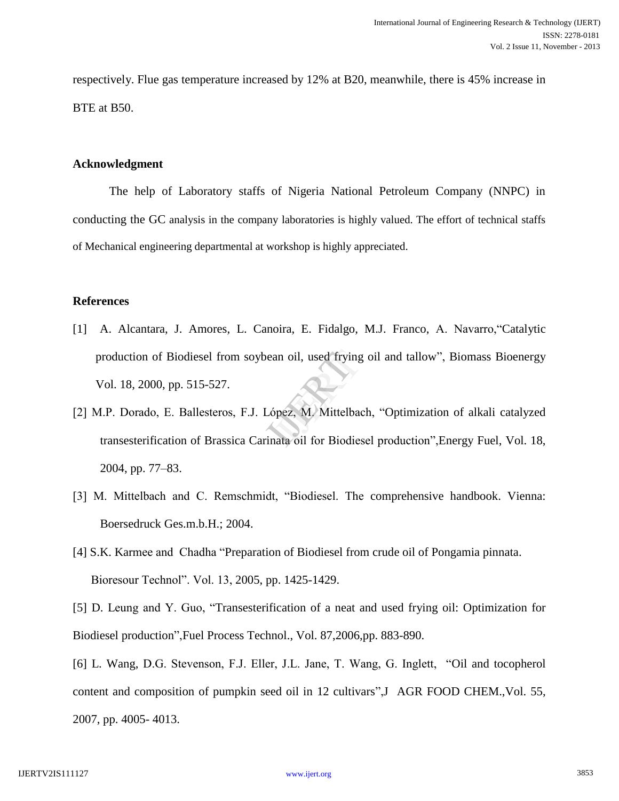respectively. Flue gas temperature increased by 12% at B20, meanwhile, there is 45% increase in BTE at B50.

### **Acknowledgment**

The help of Laboratory staffs of Nigeria National Petroleum Company (NNPC) in conducting the GC analysis in the company laboratories is highly valued. The effort of technical staffs of Mechanical engineering departmental at workshop is highly appreciated.

### **References**

- [1] A. Alcantara, J. Amores, L. Canoira, E. Fidalgo, M.J. Franco, A. Navarro,"Catalytic production of Biodiesel from soybean oil, used frying oil and tallow", Biomass Bioenergy<br>
Vol. 18, 2000, pp. 515-527.<br>
M.P. Dorado, E. Ballesteros, F.J. López, M. Mittelbach, "Optimization of alkali catalyzed<br>
transesterif Vol. 18, 2000, pp. 515-527.
- [2] M.P. Dorado, E. Ballesteros, F.J. López, M. Mittelbach, "Optimization of alkali catalyzed transesterification of Brassica Carinata oil for Biodiesel production",Energy Fuel, Vol. 18, 2004, pp. 77–83.
- [3] M. Mittelbach and C. Remschmidt, "Biodiesel. The comprehensive handbook. Vienna: Boersedruck Ges.m.b.H.; 2004.
- [4] S.K. Karmee and Chadha "Preparation of Biodiesel from crude oil of Pongamia pinnata. Bioresour Technol". Vol. 13, 2005, pp. 1425-1429.

[5] D. Leung and Y. Guo, "Transesterification of a neat and used frying oil: Optimization for Biodiesel production",Fuel Process Technol., Vol. 87,2006,pp. 883-890.

[6] L. Wang, D.G. Stevenson, F.J. Eller, J.L. Jane, T. Wang, G. Inglett, "Oil and tocopherol content and composition of pumpkin seed oil in 12 cultivars",J AGR FOOD CHEM.,Vol. 55, 2007, pp. 4005- 4013.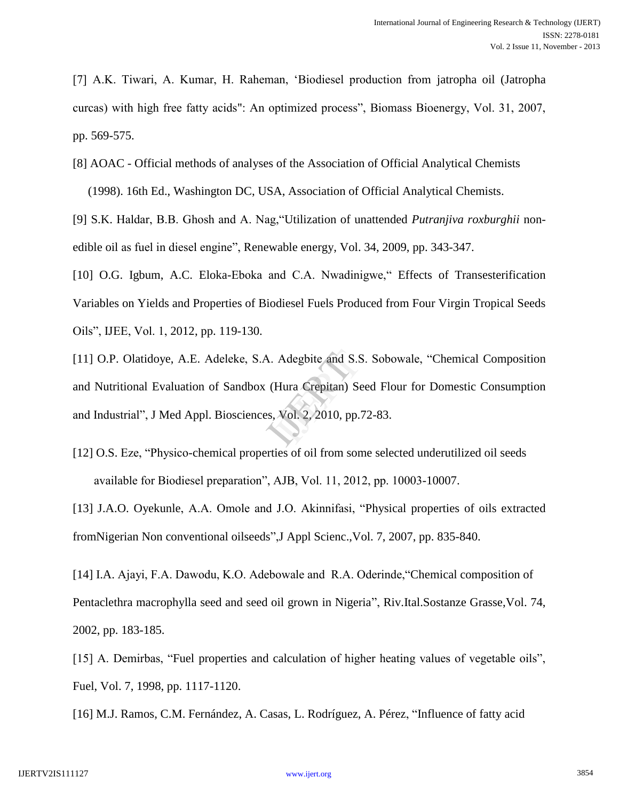[7] A.K. Tiwari, A. Kumar, H. Raheman, "Biodiesel production from jatropha oil (Jatropha curcas) with high free fatty acids": An optimized process", Biomass Bioenergy, Vol. 31, 2007, pp. 569-575.

[8] AOAC - Official methods of analyses of the Association of Official Analytical Chemists

(1998). 16th Ed., Washington DC, USA, Association of Official Analytical Chemists.

[9] S.K. Haldar, B.B. Ghosh and A. Nag,"Utilization of unattended *Putranjiva roxburghii* nonedible oil as fuel in diesel engine", Renewable energy, Vol. 34, 2009, pp. 343-347.

[10] O.G. Igbum, A.C. Eloka-Eboka and C.A. Nwadinigwe," Effects of Transesterification Variables on Yields and Properties of Biodiesel Fuels Produced from Four Virgin Tropical Seeds Oils", IJEE, Vol. 1, 2012, pp. 119-130.

[11] O.P. Olatidoye, A.E. Adeleke, S.A. Adegbite and S.S. Sobowale, "Chemical Composition<br>and Nutritional Evaluation of Sandbox (Hura Crepitan) Seed Flour for Domestic Consumption<br>and Industrial", J Med Appl. Biosciences, and Nutritional Evaluation of Sandbox (Hura Crepitan) Seed Flour for Domestic Consumption and Industrial", J Med Appl. Biosciences, Vol. 2, 2010, pp.72-83.

[12] O.S. Eze, "Physico-chemical properties of oil from some selected underutilized oil seeds available for Biodiesel preparation", AJB, Vol. 11, 2012, pp. 10003-10007.

[13] J.A.O. Oyekunle, A.A. Omole and J.O. Akinnifasi, "Physical properties of oils extracted fromNigerian Non conventional oilseeds",J Appl Scienc.,Vol. 7, 2007, pp. 835-840.

[14] I.A. Ajayi, F.A. Dawodu, K.O. Adebowale and R.A. Oderinde,"Chemical composition of Pentaclethra macrophylla seed and seed oil grown in Nigeria", Riv.Ital.Sostanze Grasse,Vol. 74, 2002, pp. 183-185.

[15] A. Demirbas, "Fuel properties and calculation of higher heating values of vegetable oils", Fuel, Vol. 7, 1998, pp. 1117-1120.

[16] M.J. Ramos, C.M. Fernández, A. Casas, L. Rodríguez, A. Pérez, "Influence of fatty acid